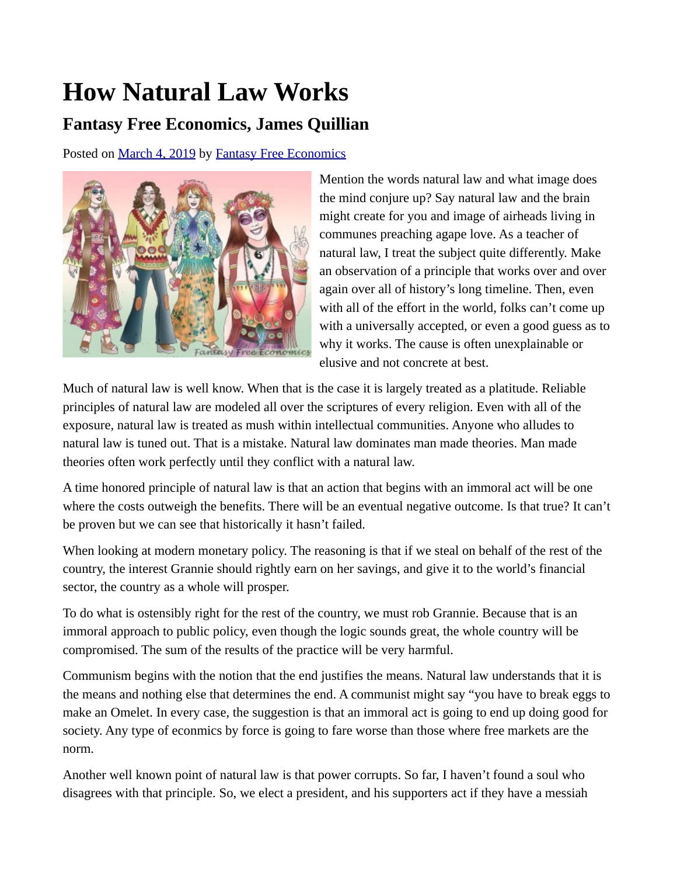## **How Natural Law Works**

## **Fantasy Free Economics, James Quillian**

Posted on [March 4, 2019](http://quillian.net/blog/?p=6051) by [Fantasy Free Economics](http://quillian.net/blog/author/james-quillian/)



Mention the words natural law and what image does the mind conjure up? Say natural law and the brain might create for you and image of airheads living in communes preaching agape love. As a teacher of natural law, I treat the subject quite differently. Make an observation of a principle that works over and over again over all of history's long timeline. Then, even with all of the effort in the world, folks can't come up with a universally accepted, or even a good guess as to why it works. The cause is often unexplainable or elusive and not concrete at best.

Much of natural law is well know. When that is the case it is largely treated as a platitude. Reliable principles of natural law are modeled all over the scriptures of every religion. Even with all of the exposure, natural law is treated as mush within intellectual communities. Anyone who alludes to natural law is tuned out. That is a mistake. Natural law dominates man made theories. Man made theories often work perfectly until they conflict with a natural law.

A time honored principle of natural law is that an action that begins with an immoral act will be one where the costs outweigh the benefits. There will be an eventual negative outcome. Is that true? It can't be proven but we can see that historically it hasn't failed.

When looking at modern monetary policy. The reasoning is that if we steal on behalf of the rest of the country, the interest Grannie should rightly earn on her savings, and give it to the world's financial sector, the country as a whole will prosper.

To do what is ostensibly right for the rest of the country, we must rob Grannie. Because that is an immoral approach to public policy, even though the logic sounds great, the whole country will be compromised. The sum of the results of the practice will be very harmful.

Communism begins with the notion that the end justifies the means. Natural law understands that it is the means and nothing else that determines the end. A communist might say "you have to break eggs to make an Omelet. In every case, the suggestion is that an immoral act is going to end up doing good for society. Any type of econmics by force is going to fare worse than those where free markets are the norm.

Another well known point of natural law is that power corrupts. So far, I haven't found a soul who disagrees with that principle. So, we elect a president, and his supporters act if they have a messiah